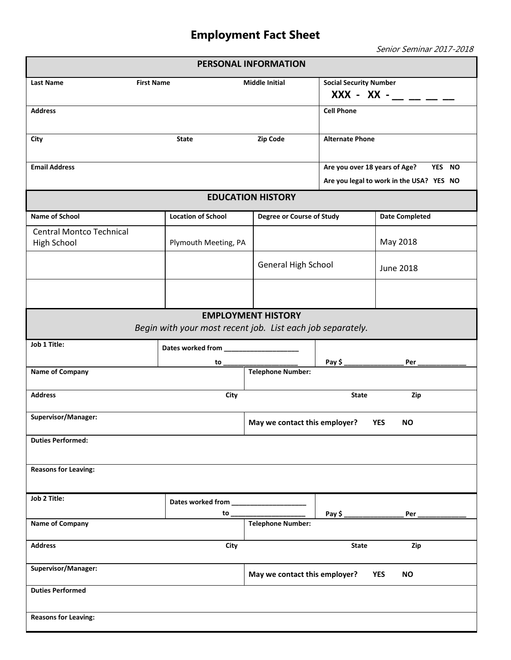## **Employment Fact Sheet**

Senior Seminar 2017-2018

| PERSONAL INFORMATION                                                                    |                                                          |                                                                                     |                                                       |                       |  |  |  |
|-----------------------------------------------------------------------------------------|----------------------------------------------------------|-------------------------------------------------------------------------------------|-------------------------------------------------------|-----------------------|--|--|--|
| <b>Last Name</b><br><b>First Name</b>                                                   |                                                          | <b>Middle Initial</b>                                                               | <b>Social Security Number</b><br>$XXX - XX -$ _ _ _ _ |                       |  |  |  |
| <b>Address</b>                                                                          |                                                          |                                                                                     | <b>Cell Phone</b>                                     |                       |  |  |  |
| State<br><b>City</b>                                                                    |                                                          | Zip Code                                                                            | <b>Alternate Phone</b>                                |                       |  |  |  |
| <b>Email Address</b>                                                                    |                                                          | Are you over 18 years of Age?<br>YES NO<br>Are you legal to work in the USA? YES NO |                                                       |                       |  |  |  |
| <b>EDUCATION HISTORY</b>                                                                |                                                          |                                                                                     |                                                       |                       |  |  |  |
| <b>Name of School</b>                                                                   | <b>Location of School</b>                                | Degree or Course of Study                                                           |                                                       | <b>Date Completed</b> |  |  |  |
| <b>Central Montco Technical</b><br>High School                                          | Plymouth Meeting, PA                                     |                                                                                     |                                                       | May 2018              |  |  |  |
|                                                                                         |                                                          | <b>General High School</b>                                                          |                                                       | <b>June 2018</b>      |  |  |  |
|                                                                                         |                                                          |                                                                                     |                                                       |                       |  |  |  |
| <b>EMPLOYMENT HISTORY</b><br>Begin with your most recent job. List each job separately. |                                                          |                                                                                     |                                                       |                       |  |  |  |
| Job 1 Title:                                                                            |                                                          |                                                                                     |                                                       |                       |  |  |  |
|                                                                                         | to                                                       |                                                                                     | Pay $\frac{1}{2}$                                     | Per                   |  |  |  |
| Name of Company                                                                         |                                                          | <b>Telephone Number:</b>                                                            |                                                       |                       |  |  |  |
| <b>Address</b>                                                                          | State<br>Zip                                             |                                                                                     |                                                       |                       |  |  |  |
| Supervisor/Manager:                                                                     | May we contact this employer?<br><b>YES</b><br><b>NO</b> |                                                                                     |                                                       |                       |  |  |  |
| <b>Duties Performed:</b>                                                                |                                                          |                                                                                     |                                                       |                       |  |  |  |
| <b>Reasons for Leaving:</b>                                                             |                                                          |                                                                                     |                                                       |                       |  |  |  |
| Job 2 Title:                                                                            | Dates worked from _________________                      |                                                                                     |                                                       |                       |  |  |  |
|                                                                                         | to $_{-}$                                                |                                                                                     | Pay $$$ $-$                                           | Per                   |  |  |  |
| <b>Name of Company</b>                                                                  |                                                          | <b>Telephone Number:</b>                                                            |                                                       |                       |  |  |  |
| <b>Address</b><br>City                                                                  |                                                          | Zip<br><b>State</b>                                                                 |                                                       |                       |  |  |  |
| Supervisor/Manager:                                                                     |                                                          | May we contact this employer?<br><b>YES</b><br><b>NO</b>                            |                                                       |                       |  |  |  |
| <b>Duties Performed</b>                                                                 |                                                          |                                                                                     |                                                       |                       |  |  |  |
| <b>Reasons for Leaving:</b>                                                             |                                                          |                                                                                     |                                                       |                       |  |  |  |